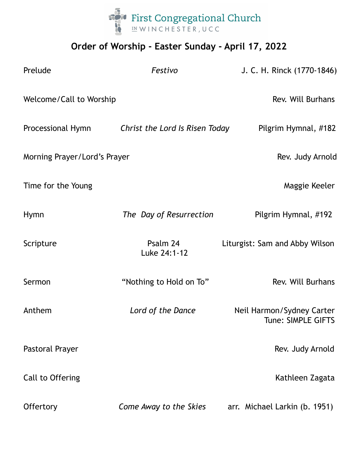

## **Order of Worship - Easter Sunday - April 17, 2022**

| Prelude                      | Festivo                        | J. C. H. Rinck (1770-1846)                      |
|------------------------------|--------------------------------|-------------------------------------------------|
| Welcome/Call to Worship      |                                | Rev. Will Burhans                               |
| Processional Hymn            | Christ the Lord Is Risen Today | Pilgrim Hymnal, #182                            |
| Morning Prayer/Lord's Prayer |                                | Rev. Judy Arnold                                |
| Time for the Young           |                                | Maggie Keeler                                   |
| <b>Hymn</b>                  | The Day of Resurrection        | Pilgrim Hymnal, #192                            |
| Scripture                    | Psalm 24<br>Luke 24:1-12       | Liturgist: Sam and Abby Wilson                  |
| Sermon                       | "Nothing to Hold on To"        | Rev. Will Burhans                               |
| Anthem                       | Lord of the Dance              | Neil Harmon/Sydney Carter<br>Tune: SIMPLE GIFTS |
| Pastoral Prayer              |                                | Rev. Judy Arnold                                |
| Call to Offering             |                                | Kathleen Zagata                                 |
| <b>Offertory</b>             | Come Away to the Skies         | arr. Michael Larkin (b. 1951)                   |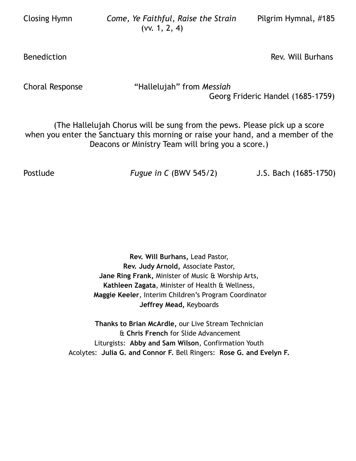Closing Hymn *Come, Ye Faithful, Raise the Strain* Pilgrim Hymnal, #185 (vv. 1, 2, 4)

Benediction **Bureau Community** Benediction **Rev.** Will Burhans

Choral Response "Hallelujah" from *Messiah*

Georg Frideric Handel (1685-1759)

(The Hallelujah Chorus will be sung from the pews. Please pick up a score when you enter the Sanctuary this morning or raise your hand, and a member of the Deacons or Ministry Team will bring you a score.)

Postlude *Fugue in C* (BWV 545/2) J.S. Bach (1685-1750)

**Rev. Will Burhans,** Lead Pastor, **Rev. Judy Arnold,** Associate Pastor, **Jane Ring Frank,** Minister of Music & Worship Arts, **Kathleen Zagata**, Minister of Health & Wellness, **Maggie Keeler**, Interim Children's Program Coordinator **Jeffrey Mead,** Keyboards

**Thanks to Brian McArdle,** our Live Stream Technician & **Chris French** for Slide Advancement Liturgists: **Abby and Sam Wilson**, Confirmation Youth Acolytes: **Julia G. and Connor F.** Bell Ringers: **Rose G. and Evelyn F.**